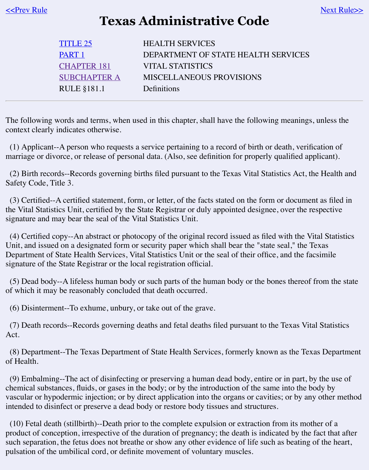| CHAPTER 181         | VITAL STATISTICS                |
|---------------------|---------------------------------|
| <b>SUBCHAPTER A</b> | <b>MISCELLANEOUS PROVISIONS</b> |
| RULE §181.1         | Definitions                     |

The following [words and](https://texreg.sos.state.tx.us/public/readtac$ext.ViewTAC?tac_view=3&ti=25&pt=1) terms, when used in this chapter, shall have the following meanings. context clearly i[ndicates otherwi](https://texreg.sos.state.tx.us/public/readtac$ext.ViewTAC?tac_view=4&ti=25&pt=1&ch=181)se.

 $(1)$  Applicant-[-A person who requ](https://texreg.sos.state.tx.us/public/readtac$ext.ViewTAC?tac_view=5&ti=25&pt=1&ch=181&sch=A&rl=Y)ests a service pertaining to a record of birth or death, verification marriage or divorce, or release of personal data. (Also, see definition for properly qualified ap

(2) Birth records--Records governing births filed pursuant to the Texas Vital Statistics Act, the Safety Code, Title 3.

 $(3)$  Certified--A certified statement, form, or letter, of the facts stated on the form or document the Vital Statistics Unit, certified by the State Registrar or duly appointed designee, over the re signature and may bear the seal of the Vital Statistics Unit.

 $(4)$  Certified copy--An abstract or photocopy of the original record issued as filed with the Vi Unit, and issued on a designated form or security paper which shall bear the "state seal," the T Department of State Health Services, Vital Statistics Unit or the seal of their office, and the fact signature of the State Registrar or the local registration official.

 $(5)$  Dead body--A lifeless human body or such parts of the human body or the bones thereof of which it may be reasonably concluded that death occurred.

(6) Disinterment--To exhume, unbury, or take out of the grave.

(7) Death records--Records governing deaths and fetal deaths filed pursuant to the Texas Vita Act.

(8) Department--The Texas Department of State Health Services, formerly known as the Tex of Health.

 $(9)$  Embalming--The act of disinfecting or preserving a human dead body, entire or in part, b chemical substances, fluids, or gases in the body; or by the introduction of the same into the b vascular or hypodermic injection; or by direct application into the organs or cavities; or by any intended to disinfect or preserve a dead body or restore body tissues and structures.

 $(10)$  Fetal death (stillbirth)--Death prior to the complete expulsion or extraction from its mot product of conception, irrespective of the duration of pregnancy; the death is indicated by the such separation, the fetus does not breathe or show any other evidence of life such as beating of pulsation of the umbilical cord, or definite movement of voluntary muscles.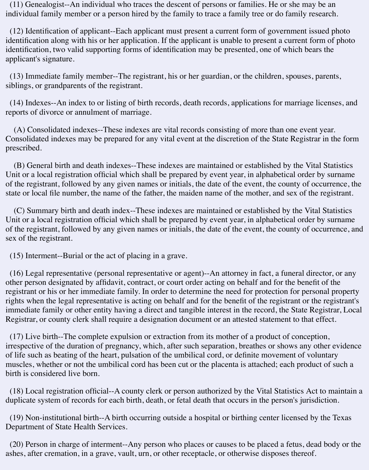(11) Genealogist--An individual who traces the descent of persons or families. He or she may be an individual family member or a person hired by the family to trace a family tree or do family research.

 (12) Identification of applicant--Each applicant must present a current form of government issued photo identification along with his or her application. If the applicant is unable to present a current form of photo identification, two valid supporting forms of identification may be presented, one of which bears the applicant's signature.

 (13) Immediate family member--The registrant, his or her guardian, or the children, spouses, parents, siblings, or grandparents of the registrant.

 (14) Indexes--An index to or listing of birth records, death records, applications for marriage licenses, and reports of divorce or annulment of marriage.

 (A) Consolidated indexes--These indexes are vital records consisting of more than one event year. Consolidated indexes may be prepared for any vital event at the discretion of the State Registrar in the form prescribed.

 (B) General birth and death indexes--These indexes are maintained or established by the Vital Statistics Unit or a local registration official which shall be prepared by event year, in alphabetical order by surname of the registrant, followed by any given names or initials, the date of the event, the county of occurrence, the state or local file number, the name of the father, the maiden name of the mother, and sex of the registrant.

 (C) Summary birth and death index--These indexes are maintained or established by the Vital Statistics Unit or a local registration official which shall be prepared by event year, in alphabetical order by surname of the registrant, followed by any given names or initials, the date of the event, the county of occurrence, and sex of the registrant.

(15) Interment--Burial or the act of placing in a grave.

 (16) Legal representative (personal representative or agent)--An attorney in fact, a funeral director, or any other person designated by affidavit, contract, or court order acting on behalf and for the benefit of the registrant or his or her immediate family. In order to determine the need for protection for personal property rights when the legal representative is acting on behalf and for the benefit of the registrant or the registrant's immediate family or other entity having a direct and tangible interest in the record, the State Registrar, Local Registrar, or county clerk shall require a designation document or an attested statement to that effect.

 (17) Live birth--The complete expulsion or extraction from its mother of a product of conception, irrespective of the duration of pregnancy, which, after such separation, breathes or shows any other evidence of life such as beating of the heart, pulsation of the umbilical cord, or definite movement of voluntary muscles, whether or not the umbilical cord has been cut or the placenta is attached; each product of such a birth is considered live born.

 (18) Local registration official--A county clerk or person authorized by the Vital Statistics Act to maintain a duplicate system of records for each birth, death, or fetal death that occurs in the person's jurisdiction.

 (19) Non-institutional birth--A birth occurring outside a hospital or birthing center licensed by the Texas Department of State Health Services.

 (20) Person in charge of interment--Any person who places or causes to be placed a fetus, dead body or the ashes, after cremation, in a grave, vault, urn, or other receptacle, or otherwise disposes thereof.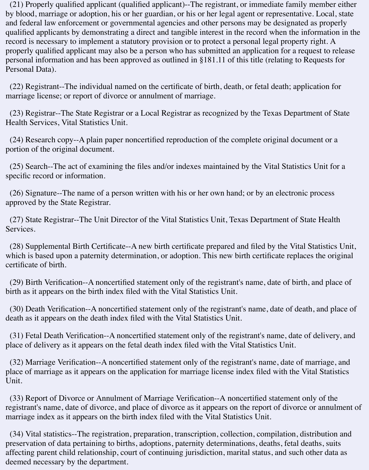(21) Properly qualified applicant (qualified applicant)--The registrant, or immediate family member either by blood, marriage or adoption, his or her guardian, or his or her legal agent or representative. Local, state and federal law enforcement or governmental agencies and other persons may be designated as properly qualified applicants by demonstrating a direct and tangible interest in the record when the information in the record is necessary to implement a statutory provision or to protect a personal legal property right. A properly qualified applicant may also be a person who has submitted an application for a request to release personal information and has been approved as outlined in §181.11 of this title (relating to Requests for Personal Data).

 (22) Registrant--The individual named on the certificate of birth, death, or fetal death; application for marriage license; or report of divorce or annulment of marriage.

 (23) Registrar--The State Registrar or a Local Registrar as recognized by the Texas Department of State Health Services, Vital Statistics Unit.

 (24) Research copy--A plain paper noncertified reproduction of the complete original document or a portion of the original document.

 (25) Search--The act of examining the files and/or indexes maintained by the Vital Statistics Unit for a specific record or information.

 (26) Signature--The name of a person written with his or her own hand; or by an electronic process approved by the State Registrar.

 (27) State Registrar--The Unit Director of the Vital Statistics Unit, Texas Department of State Health Services.

 (28) Supplemental Birth Certificate--A new birth certificate prepared and filed by the Vital Statistics Unit, which is based upon a paternity determination, or adoption. This new birth certificate replaces the original certificate of birth.

 (29) Birth Verification--A noncertified statement only of the registrant's name, date of birth, and place of birth as it appears on the birth index filed with the Vital Statistics Unit.

 (30) Death Verification--A noncertified statement only of the registrant's name, date of death, and place of death as it appears on the death index filed with the Vital Statistics Unit.

 (31) Fetal Death Verification--A noncertified statement only of the registrant's name, date of delivery, and place of delivery as it appears on the fetal death index filed with the Vital Statistics Unit.

 (32) Marriage Verification--A noncertified statement only of the registrant's name, date of marriage, and place of marriage as it appears on the application for marriage license index filed with the Vital Statistics Unit.

 (33) Report of Divorce or Annulment of Marriage Verification--A noncertified statement only of the registrant's name, date of divorce, and place of divorce as it appears on the report of divorce or annulment of marriage index as it appears on the birth index filed with the Vital Statistics Unit.

 (34) Vital statistics--The registration, preparation, transcription, collection, compilation, distribution and preservation of data pertaining to births, adoptions, paternity determinations, deaths, fetal deaths, suits affecting parent child relationship, court of continuing jurisdiction, marital status, and such other data as deemed necessary by the department.